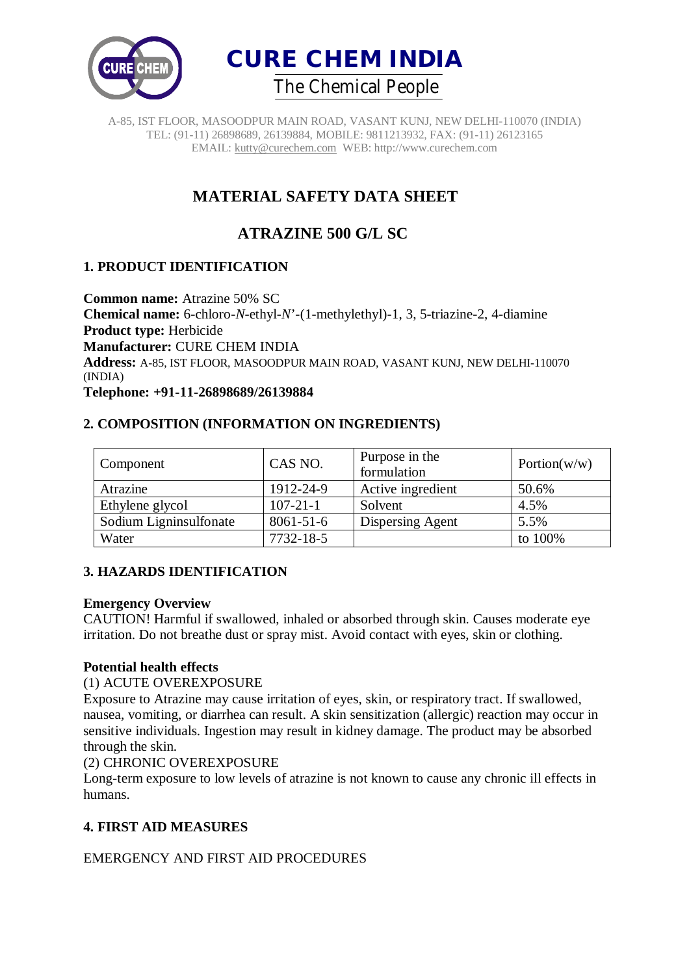



# **MATERIAL SAFETY DATA SHEET**

# **ATRAZINE 500 G/L SC**

# **1. PRODUCT IDENTIFICATION**

**Common name:** Atrazine 50% SC **Chemical name:** 6-chloro-*N*-ethyl-*N*'-(1-methylethyl)-1, 3, 5-triazine-2, 4-diamine **Product type:** Herbicide **Manufacturer:** CURE CHEM INDIA **Address:** A-85, IST FLOOR, MASOODPUR MAIN ROAD, VASANT KUNJ, NEW DELHI-110070 (INDIA)

**Telephone: +91-11-26898689/26139884**

# **2. COMPOSITION (INFORMATION ON INGREDIENTS)**

| Component              | CAS NO.         | Purpose in the<br>formulation | Portion( $w/w$ ) |
|------------------------|-----------------|-------------------------------|------------------|
| Atrazine               | 1912-24-9       | Active ingredient             | 50.6%            |
| Ethylene glycol        | $107 - 21 - 1$  | Solvent                       | 4.5%             |
| Sodium Ligninsulfonate | $8061 - 51 - 6$ | Dispersing Agent              | 5.5%             |
| Water                  | 7732-18-5       |                               | to 100%          |

### **3. HAZARDS IDENTIFICATION**

#### **Emergency Overview**

CAUTION! Harmful if swallowed, inhaled or absorbed through skin. Causes moderate eye irritation. Do not breathe dust or spray mist. Avoid contact with eyes, skin or clothing.

### **Potential health effects**

#### (1) ACUTE OVEREXPOSURE

Exposure to Atrazine may cause irritation of eyes, skin, or respiratory tract. If swallowed, nausea, vomiting, or diarrhea can result. A skin sensitization (allergic) reaction may occur in sensitive individuals. Ingestion may result in kidney damage. The product may be absorbed through the skin.

### (2) CHRONIC OVEREXPOSURE

Long-term exposure to low levels of atrazine is not known to cause any chronic ill effects in humans.

# **4. FIRST AID MEASURES**

EMERGENCY AND FIRST AID PROCEDURES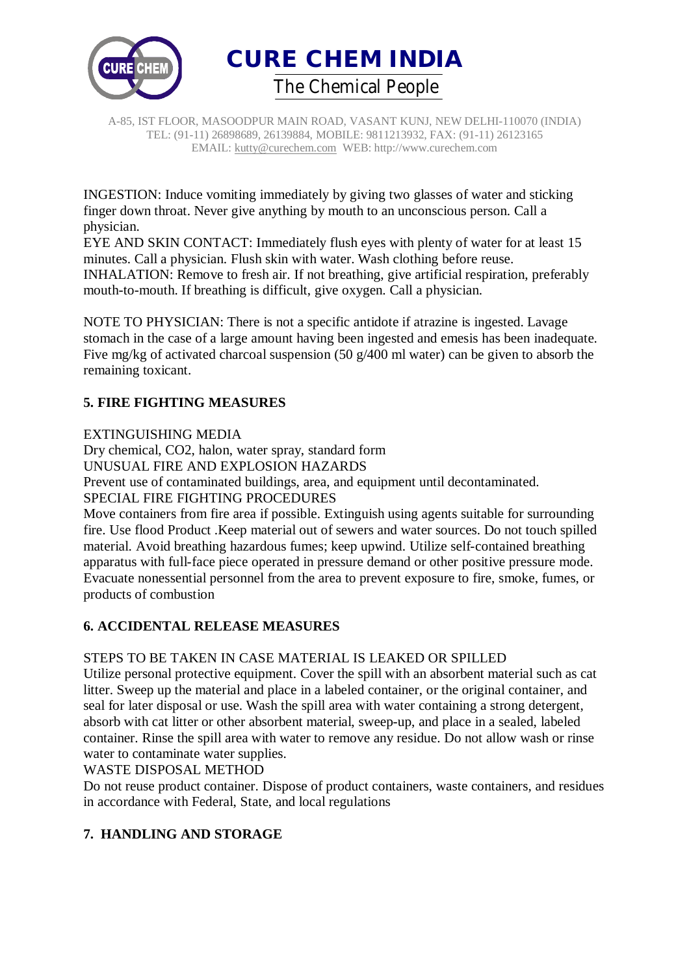



INGESTION: Induce vomiting immediately by giving two glasses of water and sticking finger down throat. Never give anything by mouth to an unconscious person. Call a physician.

EYE AND SKIN CONTACT: Immediately flush eyes with plenty of water for at least 15 minutes. Call a physician. Flush skin with water. Wash clothing before reuse. INHALATION: Remove to fresh air. If not breathing, give artificial respiration, preferably mouth-to-mouth. If breathing is difficult, give oxygen. Call a physician.

NOTE TO PHYSICIAN: There is not a specific antidote if atrazine is ingested. Lavage stomach in the case of a large amount having been ingested and emesis has been inadequate. Five mg/kg of activated charcoal suspension (50 g/400 ml water) can be given to absorb the remaining toxicant.

# **5. FIRE FIGHTING MEASURES**

EXTINGUISHING MEDIA

Dry chemical, CO2, halon, water spray, standard form

UNUSUAL FIRE AND EXPLOSION HAZARDS

Prevent use of contaminated buildings, area, and equipment until decontaminated. SPECIAL FIRE FIGHTING PROCEDURES

Move containers from fire area if possible. Extinguish using agents suitable for surrounding fire. Use flood Product .Keep material out of sewers and water sources. Do not touch spilled material. Avoid breathing hazardous fumes; keep upwind. Utilize self-contained breathing apparatus with full-face piece operated in pressure demand or other positive pressure mode. Evacuate nonessential personnel from the area to prevent exposure to fire, smoke, fumes, or products of combustion

### **6. ACCIDENTAL RELEASE MEASURES**

### STEPS TO BE TAKEN IN CASE MATERIAL IS LEAKED OR SPILLED

Utilize personal protective equipment. Cover the spill with an absorbent material such as cat litter. Sweep up the material and place in a labeled container, or the original container, and seal for later disposal or use. Wash the spill area with water containing a strong detergent, absorb with cat litter or other absorbent material, sweep-up, and place in a sealed, labeled container. Rinse the spill area with water to remove any residue. Do not allow wash or rinse water to contaminate water supplies.

### WASTE DISPOSAL METHOD

Do not reuse product container. Dispose of product containers, waste containers, and residues in accordance with Federal, State, and local regulations

# **7. HANDLING AND STORAGE**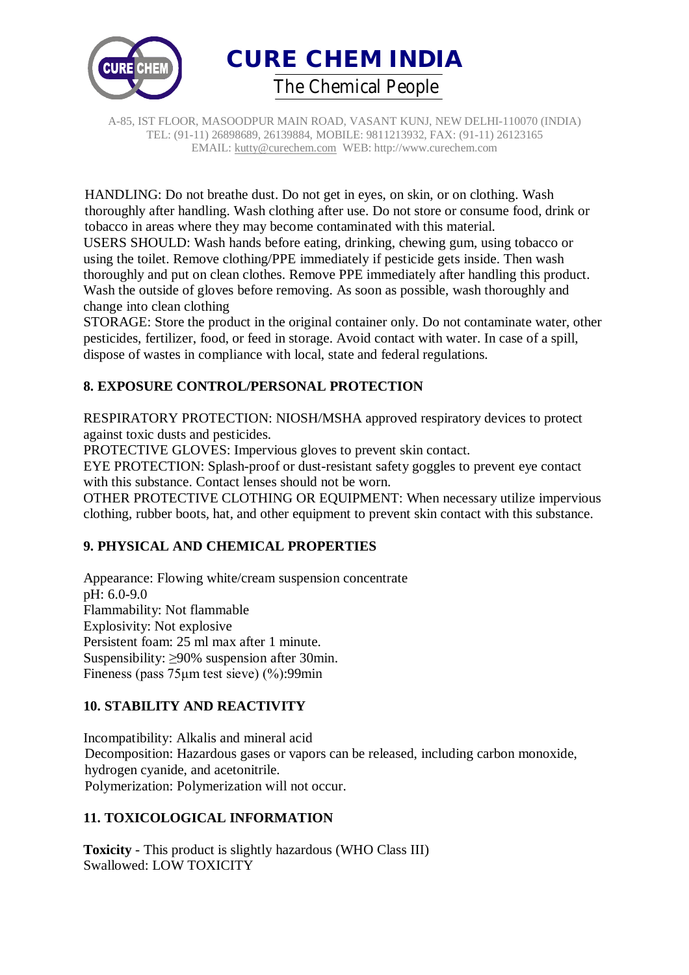



HANDLING: Do not breathe dust. Do not get in eyes, on skin, or on clothing. Wash thoroughly after handling. Wash clothing after use. Do not store or consume food, drink or tobacco in areas where they may become contaminated with this material. USERS SHOULD: Wash hands before eating, drinking, chewing gum, using tobacco or using the toilet. Remove clothing/PPE immediately if pesticide gets inside. Then wash thoroughly and put on clean clothes. Remove PPE immediately after handling this product. Wash the outside of gloves before removing. As soon as possible, wash thoroughly and change into clean clothing

STORAGE: Store the product in the original container only. Do not contaminate water, other pesticides, fertilizer, food, or feed in storage. Avoid contact with water. In case of a spill, dispose of wastes in compliance with local, state and federal regulations.

# **8. EXPOSURE CONTROL/PERSONAL PROTECTION**

RESPIRATORY PROTECTION: NIOSH/MSHA approved respiratory devices to protect against toxic dusts and pesticides.

PROTECTIVE GLOVES: Impervious gloves to prevent skin contact.

EYE PROTECTION: Splash-proof or dust-resistant safety goggles to prevent eye contact with this substance. Contact lenses should not be worn.

OTHER PROTECTIVE CLOTHING OR EQUIPMENT: When necessary utilize impervious clothing, rubber boots, hat, and other equipment to prevent skin contact with this substance.

### **9. PHYSICAL AND CHEMICAL PROPERTIES**

Appearance: Flowing white/cream suspension concentrate pH: 6.0-9.0 Flammability: Not flammable Explosivity: Not explosive Persistent foam: 25 ml max after 1 minute. Suspensibility: ≥90% suspension after 30min. Fineness (pass 75μm test sieve) (%):99min

### **10. STABILITY AND REACTIVITY**

Incompatibility: Alkalis and mineral acid Decomposition: Hazardous gases or vapors can be released, including carbon monoxide, hydrogen cyanide, and acetonitrile. Polymerization: Polymerization will not occur.

### **11. TOXICOLOGICAL INFORMATION**

**Toxicity** - This product is slightly hazardous (WHO Class III) Swallowed: LOW TOXICITY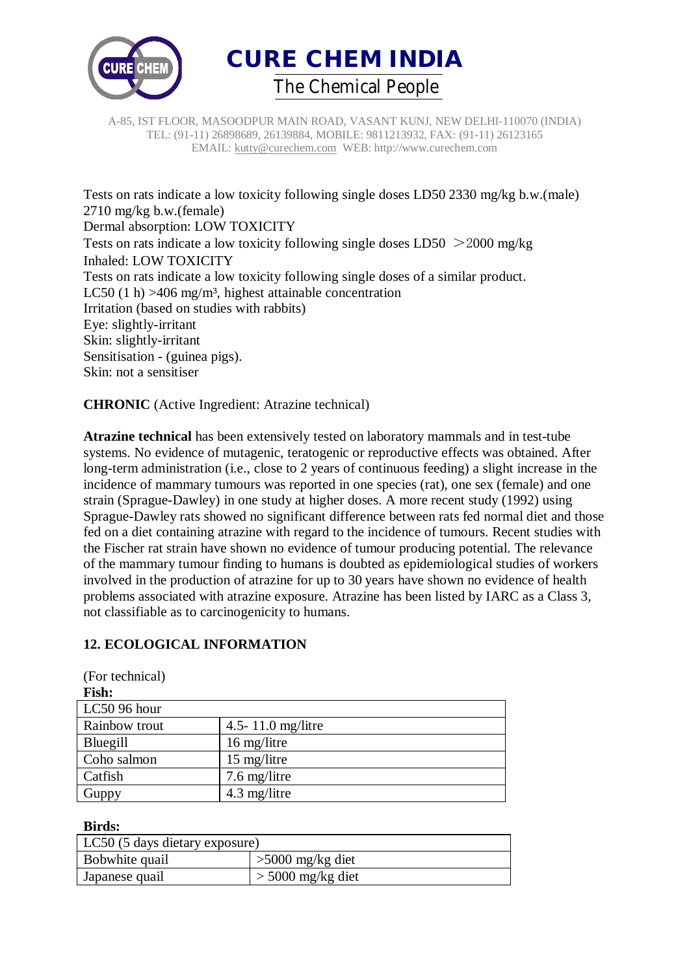



Tests on rats indicate a low toxicity following single doses LD50 2330 mg/kg b.w.(male) 2710 mg/kg b.w.(female) Dermal absorption: LOW TOXICITY Tests on rats indicate a low toxicity following single doses LD50 >2000 mg/kg Inhaled: LOW TOXICITY Tests on rats indicate a low toxicity following single doses of a similar product. LC50 (1 h)  $>406$  mg/m<sup>3</sup>, highest attainable concentration Irritation (based on studies with rabbits) Eye: slightly-irritant Skin: slightly-irritant Sensitisation - (guinea pigs). Skin: not a sensitiser

**CHRONIC** (Active Ingredient: Atrazine technical)

**Atrazine technical** has been extensively tested on laboratory mammals and in test-tube systems. No evidence of mutagenic, teratogenic or reproductive effects was obtained. After long-term administration (i.e., close to 2 years of continuous feeding) a slight increase in the incidence of mammary tumours was reported in one species (rat), one sex (female) and one strain (Sprague-Dawley) in one study at higher doses. A more recent study (1992) using Sprague-Dawley rats showed no significant difference between rats fed normal diet and those fed on a diet containing atrazine with regard to the incidence of tumours. Recent studies with the Fischer rat strain have shown no evidence of tumour producing potential. The relevance of the mammary tumour finding to humans is doubted as epidemiological studies of workers involved in the production of atrazine for up to 30 years have shown no evidence of health problems associated with atrazine exposure. Atrazine has been listed by IARC as a Class 3, not classifiable as to carcinogenicity to humans.

# **12. ECOLOGICAL INFORMATION**

| $(1 \cup 1)$ to $(1 \cup 1)$ |                   |
|------------------------------|-------------------|
| Fish:                        |                   |
| $LC50$ 96 hour               |                   |
| Rainbow trout                | 4.5-11.0 mg/litre |
| Bluegill                     | 16 mg/litre       |
| Coho salmon                  | 15 mg/litre       |
| Catfish                      | 7.6 mg/litre      |
| Guppy                        | 4.3 mg/litre      |

(For technical)

#### **Birds:**

| LC50 (5 days dietary exposure) |                     |  |  |  |
|--------------------------------|---------------------|--|--|--|
| Bobwhite quail                 | $>5000$ mg/kg diet  |  |  |  |
| Japanese quail                 | $>$ 5000 mg/kg diet |  |  |  |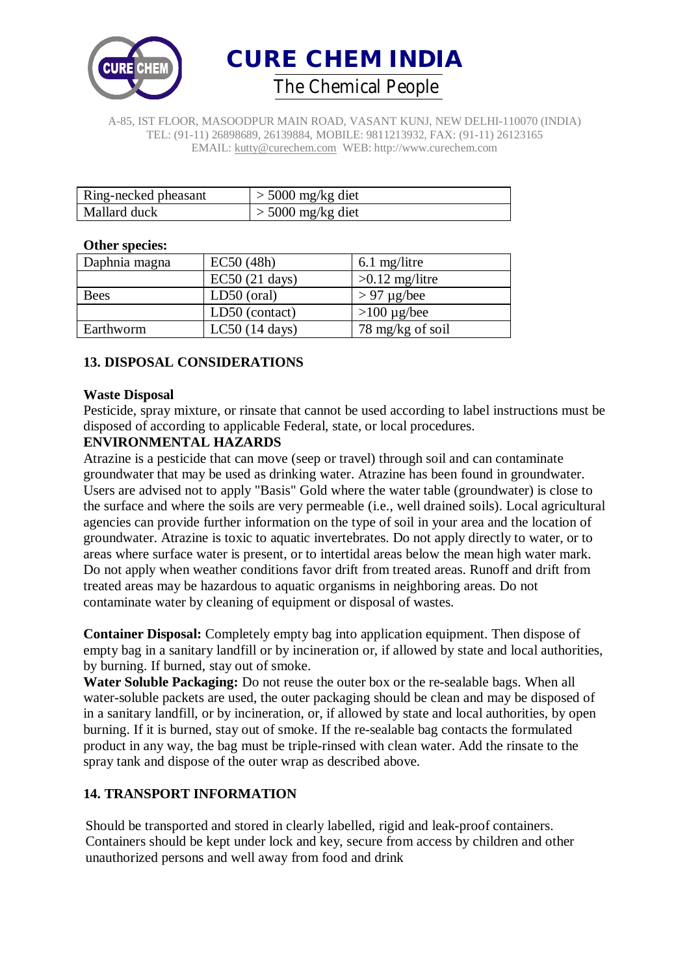

**CURE CHEM INDIA**  *The Chemical People*

A-85, IST FLOOR, MASOODPUR MAIN ROAD, VASANT KUNJ, NEW DELHI-110070 (INDIA) TEL: (91-11) 26898689, 26139884, MOBILE: 9811213932, FAX: (91-11) 26123165 EMAIL: kutty@curechem.com WEB: http://www.curechem.com

| Ring-necked pheasant | $>$ 5000 mg/kg diet |
|----------------------|---------------------|
| Mallard duck         | $>$ 5000 mg/kg diet |

#### **Other species:**

| Daphnia magna | EC50(48h)        | $6.1$ mg/litre    |
|---------------|------------------|-------------------|
|               | EC50(21 days)    | $>0.12$ mg/litre  |
| Bees          | LD50 (oral)      | $> 97 \mu$ g/bee  |
|               | LD50 (contact)   | $>100 \mu g/$ bee |
| Earthworm     | $LC50$ (14 days) | 78 mg/kg of soil  |

### **13. DISPOSAL CONSIDERATIONS**

#### **Waste Disposal**

Pesticide, spray mixture, or rinsate that cannot be used according to label instructions must be disposed of according to applicable Federal, state, or local procedures.

#### **ENVIRONMENTAL HAZARDS**

Atrazine is a pesticide that can move (seep or travel) through soil and can contaminate groundwater that may be used as drinking water. Atrazine has been found in groundwater. Users are advised not to apply "Basis" Gold where the water table (groundwater) is close to the surface and where the soils are very permeable (i.e., well drained soils). Local agricultural agencies can provide further information on the type of soil in your area and the location of groundwater. Atrazine is toxic to aquatic invertebrates. Do not apply directly to water, or to areas where surface water is present, or to intertidal areas below the mean high water mark. Do not apply when weather conditions favor drift from treated areas. Runoff and drift from treated areas may be hazardous to aquatic organisms in neighboring areas. Do not contaminate water by cleaning of equipment or disposal of wastes.

**Container Disposal:** Completely empty bag into application equipment. Then dispose of empty bag in a sanitary landfill or by incineration or, if allowed by state and local authorities, by burning. If burned, stay out of smoke.

**Water Soluble Packaging:** Do not reuse the outer box or the re-sealable bags. When all water-soluble packets are used, the outer packaging should be clean and may be disposed of in a sanitary landfill, or by incineration, or, if allowed by state and local authorities, by open burning. If it is burned, stay out of smoke. If the re-sealable bag contacts the formulated product in any way, the bag must be triple-rinsed with clean water. Add the rinsate to the spray tank and dispose of the outer wrap as described above.

### **14. TRANSPORT INFORMATION**

Should be transported and stored in clearly labelled, rigid and leak-proof containers. Containers should be kept under lock and key, secure from access by children and other unauthorized persons and well away from food and drink